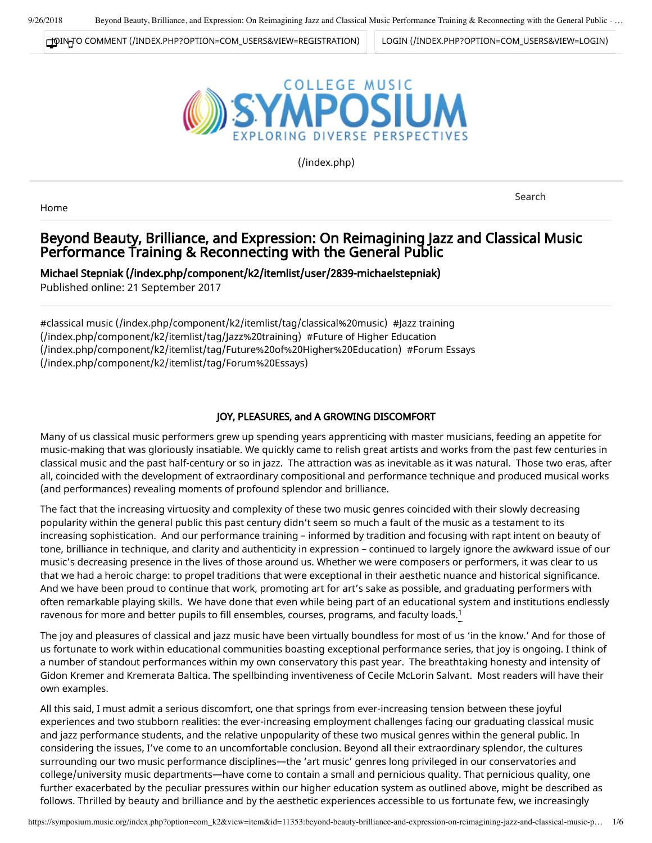[JOIN TO COMMENT \(/INDEX.PHP?OPTION=COM\\_USERS&VIEW=REGISTRATION\)](https://symposium.music.org/index.php?option=com_users&view=registration) [LOGIN \(/INDEX.PHP?OPTION=COM\\_USERS&VIEW=LOGIN\)](https://symposium.music.org/index.php?option=com_users&view=login)



[\(/index.php\)](https://symposium.music.org/index.php)

Home

Search

# Beyond Beauty, Brilliance, and Expression: On Reimagining Jazz and Classical Music Performance Training & Reconnecting with the General Public

[Michael Stepniak \(/index.php/component/k2/itemlist/user/2839-michaelstepniak\)](https://symposium.music.org/index.php/component/k2/itemlist/user/2839-michaelstepniak) Published online: 21 September 2017

[#classical music \(/index.php/component/k2/itemlist/tag/classical%20music\)](https://symposium.music.org/index.php/component/k2/itemlist/tag/classical%20music) #Jazz training (/index.php/component/k2/itemlist/tag/Jazz%20training) #Future of Higher Education [\(/index.php/component/k2/itemlist/tag/Future%20of%20Higher%20Education\)](https://symposium.music.org/index.php/component/k2/itemlist/tag/Future%20of%20Higher%20Education) #Forum Essays (/index.php/component/k2/itemlist/tag/Forum%20Essays)

## JOY, PLEASURES, and A GROWING DISCOMFORT

Many of us classical music performers grew up spending years apprenticing with master musicians, feeding an appetite for music-making that was gloriously insatiable. We quickly came to relish great artists and works from the past few centuries in classical music and the past half-century or so in jazz. The attraction was as inevitable as it was natural. Those two eras, after all, coincided with the development of extraordinary compositional and performance technique and produced musical works (and performances) revealing moments of profound splendor and brilliance.

The fact that the increasing virtuosity and complexity of these two music genres coincided with their slowly decreasing popularity within the general public this past century didn't seem so much a fault of the music as a testament to its increasing sophistication. And our performance training – informed by tradition and focusing with rapt intent on beauty of tone, brilliance in technique, and clarity and authenticity in expression – continued to largely ignore the awkward issue of our music's decreasing presence in the lives of those around us. Whether we were composers or performers, it was clear to us that we had a heroic charge: to propel traditions that were exceptional in their aesthetic nuance and historical significance. And we have been proud to continue that work, promoting art for art's sake as possible, and graduating performers with often remarkable playing skills. We have done that even while being part of an educational system and institutions endlessly ravenous for more and better pupils to fill ensembles, courses, programs, and faculty loads. $^1$ 

The joy and pleasures of classical and jazz music have been virtually boundless for most of us 'in the know.' And for those of us fortunate to work within educational communities boasting exceptional performance series, that joy is ongoing. I think of a number of standout performances within my own conservatory this past year. The breathtaking honesty and intensity of Gidon Kremer and Kremerata Baltica. The spellbinding inventiveness of Cecile McLorin Salvant. Most readers will have their own examples.

All this said, I must admit a serious discomfort, one that springs from ever-increasing tension between these joyful experiences and two stubborn realities: the ever-increasing employment challenges facing our graduating classical music and jazz performance students, and the relative unpopularity of these two musical genres within the general public. In considering the issues, I've come to an uncomfortable conclusion. Beyond all their extraordinary splendor, the cultures surrounding our two music performance disciplines—the 'art music' genres long privileged in our conservatories and college/university music departments—have come to contain a small and pernicious quality. That pernicious quality, one further exacerbated by the peculiar pressures within our higher education system as outlined above, might be described as follows. Thrilled by beauty and brilliance and by the aesthetic experiences accessible to us fortunate few, we increasingly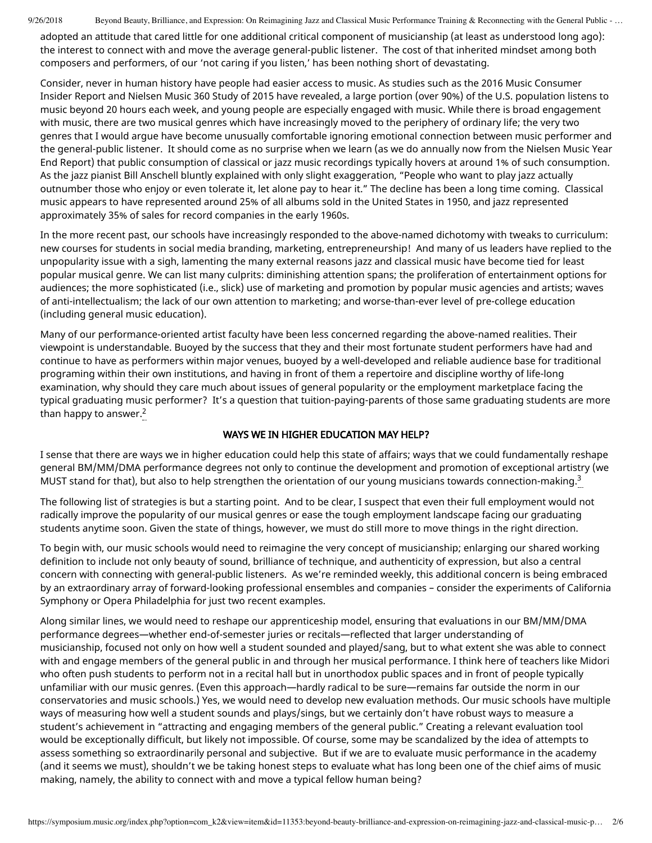9/26/2018 Beyond Beauty, Brilliance, and Expression: On Reimagining Jazz and Classical Music Performance Training & Reconnecting with the General Public - ...

adopted an attitude that cared little for one additional critical component of musicianship (at least as understood long ago): the interest to connect with and move the average general-public listener. The cost of that inherited mindset among both composers and performers, of our 'not caring if you listen,' has been nothing short of devastating.

Consider, never in human history have people had easier access to music. As studies such as the 2016 Music Consumer Insider Report and Nielsen Music 360 Study of 2015 have revealed, a large portion (over 90%) of the U.S. population listens to music beyond 20 hours each week, and young people are especially engaged with music. While there is broad engagement with music, there are two musical genres which have increasingly moved to the periphery of ordinary life; the very two genres that I would argue have become unusually comfortable ignoring emotional connection between music performer and the general-public listener. It should come as no surprise when we learn (as we do annually now from the Nielsen Music Year End Report) that public consumption of classical or jazz music recordings typically hovers at around 1% of such consumption. As the jazz pianist Bill Anschell bluntly explained with only slight exaggeration, "People who want to play jazz actually outnumber those who enjoy or even tolerate it, let alone pay to hear it." The decline has been a long time coming. Classical music appears to have represented around 25% of all albums sold in the United States in 1950, and jazz represented approximately 35% of sales for record companies in the early 1960s.

In the more recent past, our schools have increasingly responded to the above-named dichotomy with tweaks to curriculum: new courses for students in social media branding, marketing, entrepreneurship! And many of us leaders have replied to the unpopularity issue with a sigh, lamenting the many external reasons jazz and classical music have become tied for least popular musical genre. We can list many culprits: diminishing attention spans; the proliferation of entertainment options for audiences; the more sophisticated (i.e., slick) use of marketing and promotion by popular music agencies and artists; waves of anti-intellectualism; the lack of our own attention to marketing; and worse-than-ever level of pre-college education (including general music education).

Many of our performance-oriented artist faculty have been less concerned regarding the above-named realities. Their viewpoint is understandable. Buoyed by the success that they and their most fortunate student performers have had and continue to have as performers within major venues, buoyed by a well-developed and reliable audience base for traditional programing within their own institutions, and having in front of them a repertoire and discipline worthy of life-long examination, why should they care much about issues of general popularity or the employment marketplace facing the typical graduating music performer? It's a question that tuition-paying-parents of those same graduating students are more than happy to answer. $2$ 

## WAYS WE IN HIGHER EDUCATION MAY HELP?

I sense that there are ways we in higher education could help this state of affairs; ways that we could fundamentally reshape general BM/MM/DMA performance degrees not only to continue the development and promotion of exceptional artistry (we MUST stand for that), but also to help strengthen the orientation of our young musicians towards connection-making. $3$ 

The following list of strategies is but a starting point. And to be clear, I suspect that even their full employment would not radically improve the popularity of our musical genres or ease the tough employment landscape facing our graduating students anytime soon. Given the state of things, however, we must do still more to move things in the right direction.

To begin with, our music schools would need to reimagine the very concept of musicianship; enlarging our shared working definition to include not only beauty of sound, brilliance of technique, and authenticity of expression, but also a central concern with connecting with general-public listeners. As we're reminded weekly, this additional concern is being embraced by an extraordinary array of forward-looking professional ensembles and companies – consider the experiments of California Symphony or Opera Philadelphia for just two recent examples.

Along similar lines, we would need to reshape our apprenticeship model, ensuring that evaluations in our BM/MM/DMA performance degrees—whether end-of-semester juries or recitals—reflected that larger understanding of musicianship, focused not only on how well a student sounded and played/sang, but to what extent she was able to connect with and engage members of the general public in and through her musical performance. I think here of teachers like Midori who often push students to perform not in a recital hall but in unorthodox public spaces and in front of people typically unfamiliar with our music genres. (Even this approach—hardly radical to be sure—remains far outside the norm in our conservatories and music schools.) Yes, we would need to develop new evaluation methods. Our music schools have multiple ways of measuring how well a student sounds and plays/sings, but we certainly don't have robust ways to measure a student's achievement in "attracting and engaging members of the general public." Creating a relevant evaluation tool would be exceptionally difficult, but likely not impossible. Of course, some may be scandalized by the idea of attempts to assess something so extraordinarily personal and subjective. But if we are to evaluate music performance in the academy (and it seems we must), shouldn't we be taking honest steps to evaluate what has long been one of the chief aims of music making, namely, the ability to connect with and move a typical fellow human being?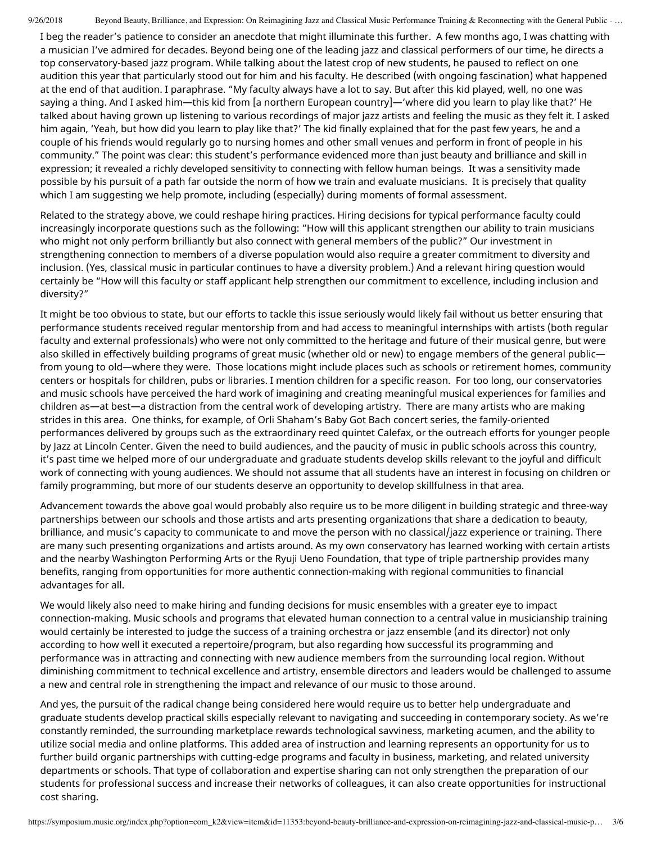9/26/2018 Beyond Beauty, Brilliance, and Expression: On Reimagining Jazz and Classical Music Performance Training & Reconnecting with the General Public - ...

I beg the reader's patience to consider an anecdote that might illuminate this further. A few months ago, I was chatting with a musician I've admired for decades. Beyond being one of the leading jazz and classical performers of our time, he directs a top conservatory-based jazz program. While talking about the latest crop of new students, he paused to reflect on one audition this year that particularly stood out for him and his faculty. He described (with ongoing fascination) what happened at the end of that audition. I paraphrase. "My faculty always have a lot to say. But after this kid played, well, no one was saying a thing. And I asked him—this kid from [a northern European country]—'where did you learn to play like that?' He talked about having grown up listening to various recordings of major jazz artists and feeling the music as they felt it. I asked him again, 'Yeah, but how did you learn to play like that?' The kid finally explained that for the past few years, he and a couple of his friends would regularly go to nursing homes and other small venues and perform in front of people in his community." The point was clear: this student's performance evidenced more than just beauty and brilliance and skill in expression; it revealed a richly developed sensitivity to connecting with fellow human beings. It was a sensitivity made possible by his pursuit of a path far outside the norm of how we train and evaluate musicians. It is precisely that quality which I am suggesting we help promote, including (especially) during moments of formal assessment.

Related to the strategy above, we could reshape hiring practices. Hiring decisions for typical performance faculty could increasingly incorporate questions such as the following: "How will this applicant strengthen our ability to train musicians who might not only perform brilliantly but also connect with general members of the public?" Our investment in strengthening connection to members of a diverse population would also require a greater commitment to diversity and inclusion. (Yes, classical music in particular continues to have a diversity problem.) And a relevant hiring question would certainly be "How will this faculty or staff applicant help strengthen our commitment to excellence, including inclusion and diversity?"

It might be too obvious to state, but our efforts to tackle this issue seriously would likely fail without us better ensuring that performance students received regular mentorship from and had access to meaningful internships with artists (both regular faculty and external professionals) who were not only committed to the heritage and future of their musical genre, but were also skilled in effectively building programs of great music (whether old or new) to engage members of the general public from young to old—where they were. Those locations might include places such as schools or retirement homes, community centers or hospitals for children, pubs or libraries. I mention children for a specific reason. For too long, our conservatories and music schools have perceived the hard work of imagining and creating meaningful musical experiences for families and children as—at best—a distraction from the central work of developing artistry. There are many artists who are making strides in this area. One thinks, for example, of Orli Shaham's Baby Got Bach concert series, the family-oriented performances delivered by groups such as the extraordinary reed quintet Calefax, or the outreach efforts for younger people by Jazz at Lincoln Center. Given the need to build audiences, and the paucity of music in public schools across this country, it's past time we helped more of our undergraduate and graduate students develop skills relevant to the joyful and difficult work of connecting with young audiences. We should not assume that all students have an interest in focusing on children or family programming, but more of our students deserve an opportunity to develop skillfulness in that area.

Advancement towards the above goal would probably also require us to be more diligent in building strategic and three-way partnerships between our schools and those artists and arts presenting organizations that share a dedication to beauty, brilliance, and music's capacity to communicate to and move the person with no classical/jazz experience or training. There are many such presenting organizations and artists around. As my own conservatory has learned working with certain artists and the nearby Washington Performing Arts or the Ryuji Ueno Foundation, that type of triple partnership provides many benefits, ranging from opportunities for more authentic connection-making with regional communities to financial advantages for all.

We would likely also need to make hiring and funding decisions for music ensembles with a greater eye to impact connection-making. Music schools and programs that elevated human connection to a central value in musicianship training would certainly be interested to judge the success of a training orchestra or jazz ensemble (and its director) not only according to how well it executed a repertoire/program, but also regarding how successful its programming and performance was in attracting and connecting with new audience members from the surrounding local region. Without diminishing commitment to technical excellence and artistry, ensemble directors and leaders would be challenged to assume a new and central role in strengthening the impact and relevance of our music to those around.

And yes, the pursuit of the radical change being considered here would require us to better help undergraduate and graduate students develop practical skills especially relevant to navigating and succeeding in contemporary society. As we're constantly reminded, the surrounding marketplace rewards technological savviness, marketing acumen, and the ability to utilize social media and online platforms. This added area of instruction and learning represents an opportunity for us to further build organic partnerships with cutting-edge programs and faculty in business, marketing, and related university departments or schools. That type of collaboration and expertise sharing can not only strengthen the preparation of our students for professional success and increase their networks of colleagues, it can also create opportunities for instructional cost sharing.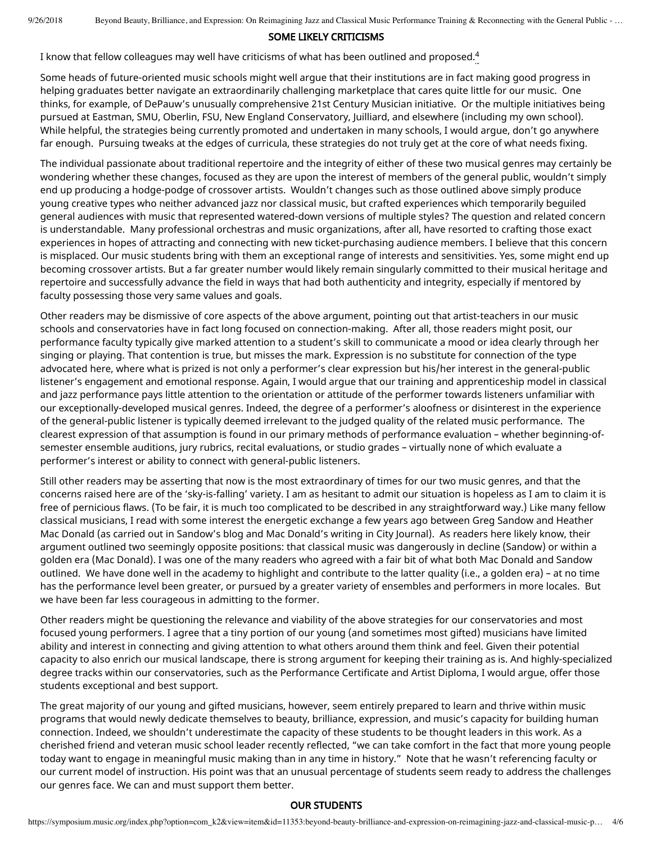#### SOME LIKELY CRITICISMS

I know that fellow colleagues may well have criticisms of what has been outlined and proposed. $^{\rm 4}$ 

Some heads of future-oriented music schools might well argue that their institutions are in fact making good progress in helping graduates better navigate an extraordinarily challenging marketplace that cares quite little for our music. One thinks, for example, of DePauw's unusually comprehensive 21st Century Musician initiative. Or the multiple initiatives being pursued at Eastman, SMU, Oberlin, FSU, New England Conservatory, Juilliard, and elsewhere (including my own school). While helpful, the strategies being currently promoted and undertaken in many schools, I would argue, don't go anywhere far enough. Pursuing tweaks at the edges of curricula, these strategies do not truly get at the core of what needs fixing.

The individual passionate about traditional repertoire and the integrity of either of these two musical genres may certainly be wondering whether these changes, focused as they are upon the interest of members of the general public, wouldn't simply end up producing a hodge-podge of crossover artists. Wouldn't changes such as those outlined above simply produce young creative types who neither advanced jazz nor classical music, but crafted experiences which temporarily beguiled general audiences with music that represented watered-down versions of multiple styles? The question and related concern is understandable. Many professional orchestras and music organizations, after all, have resorted to crafting those exact experiences in hopes of attracting and connecting with new ticket-purchasing audience members. I believe that this concern is misplaced. Our music students bring with them an exceptional range of interests and sensitivities. Yes, some might end up becoming crossover artists. But a far greater number would likely remain singularly committed to their musical heritage and repertoire and successfully advance the field in ways that had both authenticity and integrity, especially if mentored by faculty possessing those very same values and goals.

Other readers may be dismissive of core aspects of the above argument, pointing out that artist-teachers in our music schools and conservatories have in fact long focused on connection-making. After all, those readers might posit, our performance faculty typically give marked attention to a student's skill to communicate a mood or idea clearly through her singing or playing. That contention is true, but misses the mark. Expression is no substitute for connection of the type advocated here, where what is prized is not only a performer's clear expression but his/her interest in the general-public listener's engagement and emotional response. Again, I would argue that our training and apprenticeship model in classical and jazz performance pays little attention to the orientation or attitude of the performer towards listeners unfamiliar with our exceptionally-developed musical genres. Indeed, the degree of a performer's aloofness or disinterest in the experience of the general-public listener is typically deemed irrelevant to the judged quality of the related music performance. The clearest expression of that assumption is found in our primary methods of performance evaluation – whether beginning-ofsemester ensemble auditions, jury rubrics, recital evaluations, or studio grades – virtually none of which evaluate a performer's interest or ability to connect with general-public listeners.

Still other readers may be asserting that now is the most extraordinary of times for our two music genres, and that the concerns raised here are of the 'sky-is-falling' variety. I am as hesitant to admit our situation is hopeless as I am to claim it is free of pernicious flaws. (To be fair, it is much too complicated to be described in any straightforward way.) Like many fellow classical musicians, I read with some interest the energetic exchange a few years ago between Greg Sandow and Heather Mac Donald (as carried out in Sandow's blog and Mac Donald's writing in City Journal). As readers here likely know, their argument outlined two seemingly opposite positions: that classical music was dangerously in decline (Sandow) or within a golden era (Mac Donald). I was one of the many readers who agreed with a fair bit of what both Mac Donald and Sandow outlined. We have done well in the academy to highlight and contribute to the latter quality (i.e., a golden era) – at no time has the performance level been greater, or pursued by a greater variety of ensembles and performers in more locales. But we have been far less courageous in admitting to the former.

Other readers might be questioning the relevance and viability of the above strategies for our conservatories and most focused young performers. I agree that a tiny portion of our young (and sometimes most gifted) musicians have limited ability and interest in connecting and giving attention to what others around them think and feel. Given their potential capacity to also enrich our musical landscape, there is strong argument for keeping their training as is. And highly-specialized degree tracks within our conservatories, such as the Performance Certificate and Artist Diploma, I would argue, offer those students exceptional and best support.

The great majority of our young and gifted musicians, however, seem entirely prepared to learn and thrive within music programs that would newly dedicate themselves to beauty, brilliance, expression, and music's capacity for building human connection. Indeed, we shouldn't underestimate the capacity of these students to be thought leaders in this work. As a cherished friend and veteran music school leader recently reflected, "we can take comfort in the fact that more young people today want to engage in meaningful music making than in any time in history." Note that he wasn't referencing faculty or our current model of instruction. His point was that an unusual percentage of students seem ready to address the challenges our genres face. We can and must support them better.

#### OUR STUDENTS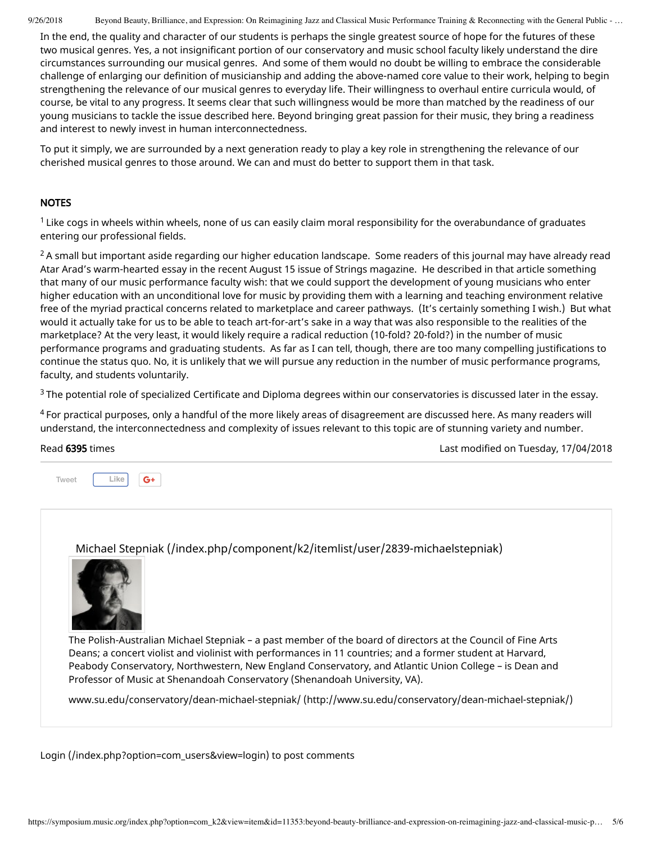9/26/2018 Beyond Beauty, Brilliance, and Expression: On Reimagining Jazz and Classical Music Performance Training & Reconnecting with the General Public - ...

In the end, the quality and character of our students is perhaps the single greatest source of hope for the futures of these two musical genres. Yes, a not insignificant portion of our conservatory and music school faculty likely understand the dire circumstances surrounding our musical genres. And some of them would no doubt be willing to embrace the considerable challenge of enlarging our definition of musicianship and adding the above-named core value to their work, helping to begin strengthening the relevance of our musical genres to everyday life. Their willingness to overhaul entire curricula would, of course, be vital to any progress. It seems clear that such willingness would be more than matched by the readiness of our young musicians to tackle the issue described here. Beyond bringing great passion for their music, they bring a readiness and interest to newly invest in human interconnectedness.

To put it simply, we are surrounded by a next generation ready to play a key role in strengthening the relevance of our cherished musical genres to those around. We can and must do better to support them in that task.

### **NOTES**

 $^1$  Like cogs in wheels within wheels, none of us can easily claim moral responsibility for the overabundance of graduates entering our professional fields.

 $^2$ A small but important aside regarding our higher education landscape. Some readers of this journal may have already read Atar Arad's warm-hearted essay in the recent August 15 issue of Strings magazine. He described in that article something that many of our music performance faculty wish: that we could support the development of young musicians who enter higher education with an unconditional love for music by providing them with a learning and teaching environment relative free of the myriad practical concerns related to marketplace and career pathways. (It's certainly something I wish.) But what would it actually take for us to be able to teach art-for-art's sake in a way that was also responsible to the realities of the marketplace? At the very least, it would likely require a radical reduction (10-fold? 20-fold?) in the number of music performance programs and graduating students. As far as I can tell, though, there are too many compelling justifications to continue the status quo. No, it is unlikely that we will pursue any reduction in the number of music performance programs, faculty, and students voluntarily.

 $3$  The potential role of specialized Certificate and Diploma degrees within our conservatories is discussed later in the essay.

 $^4$  For practical purposes, only a handful of the more likely areas of disagreement are discussed here. As many readers will understand, the interconnectedness and complexity of issues relevant to this topic are of stunning variety and number.



[Michael Stepniak \(/index.php/component/k2/itemlist/user/2839-michaelstepniak\)](https://symposium.music.org/index.php/component/k2/itemlist/user/2839-michaelstepniak)



The Polish-Australian Michael Stepniak – a past member of the board of directors at the Council of Fine Arts Deans; a concert violist and violinist with performances in 11 countries; and a former student at Harvard, Peabody Conservatory, Northwestern, New England Conservatory, and Atlantic Union College – is Dean and Professor of Music at Shenandoah Conservatory (Shenandoah University, VA).

[www.su.edu/conservatory/dean-michael-stepniak/ \(http://www.su.edu/conservatory/dean-michael-stepniak/\)](http://www.su.edu/conservatory/dean-michael-stepniak/)

[Login \(/index.php?option=com\\_users&view=login\)](https://symposium.music.org/index.php?option=com_users&view=login) to post comments